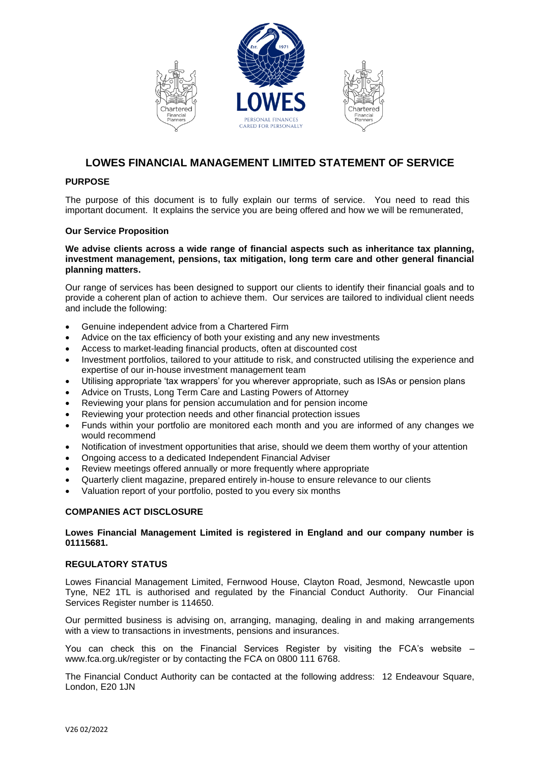





# **LOWES FINANCIAL MANAGEMENT LIMITED STATEMENT OF SERVICE**

# **PURPOSE**

The purpose of this document is to fully explain our terms of service. You need to read this important document. It explains the service you are being offered and how we will be remunerated,

# **Our Service Proposition**

#### **We advise clients across a wide range of financial aspects such as inheritance tax planning, investment management, pensions, tax mitigation, long term care and other general financial planning matters.**

Our range of services has been designed to support our clients to identify their financial goals and to provide a coherent plan of action to achieve them. Our services are tailored to individual client needs and include the following:

- Genuine independent advice from a Chartered Firm
- Advice on the tax efficiency of both your existing and any new investments
- Access to market-leading financial products, often at discounted cost
- Investment portfolios, tailored to your attitude to risk, and constructed utilising the experience and expertise of our in-house investment management team
- Utilising appropriate 'tax wrappers' for you wherever appropriate, such as ISAs or pension plans
- Advice on Trusts, Long Term Care and Lasting Powers of Attorney
- Reviewing your plans for pension accumulation and for pension income
- Reviewing your protection needs and other financial protection issues
- Funds within your portfolio are monitored each month and you are informed of any changes we would recommend
- Notification of investment opportunities that arise, should we deem them worthy of your attention
- Ongoing access to a dedicated Independent Financial Adviser
- Review meetings offered annually or more frequently where appropriate
- Quarterly client magazine, prepared entirely in-house to ensure relevance to our clients
- Valuation report of your portfolio, posted to you every six months

# **COMPANIES ACT DISCLOSURE**

### **Lowes Financial Management Limited is registered in England and our company number is 01115681.**

#### **REGULATORY STATUS**

Lowes Financial Management Limited, Fernwood House, Clayton Road, Jesmond, Newcastle upon Tyne, NE2 1TL is authorised and regulated by the Financial Conduct Authority. Our Financial Services Register number is 114650.

Our permitted business is advising on, arranging, managing, dealing in and making arrangements with a view to transactions in investments, pensions and insurances.

You can check this on the Financial Services Register by visiting the FCA's website – www.fca.org.uk/register or by contacting the FCA on 0800 111 6768.

The Financial Conduct Authority can be contacted at the following address: 12 Endeavour Square, London, E20 1JN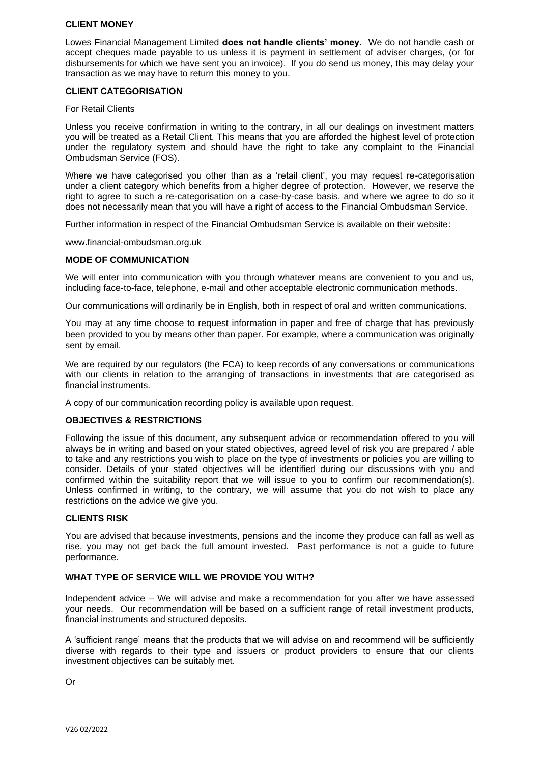### **CLIENT MONEY**

Lowes Financial Management Limited **does not handle clients' money.** We do not handle cash or accept cheques made payable to us unless it is payment in settlement of adviser charges, (or for disbursements for which we have sent you an invoice). If you do send us money, this may delay your transaction as we may have to return this money to you.

### **CLIENT CATEGORISATION**

#### For Retail Clients

Unless you receive confirmation in writing to the contrary, in all our dealings on investment matters you will be treated as a Retail Client. This means that you are afforded the highest level of protection under the regulatory system and should have the right to take any complaint to the Financial Ombudsman Service (FOS).

Where we have categorised you other than as a 'retail client', you may request re-categorisation under a client category which benefits from a higher degree of protection. However, we reserve the right to agree to such a re-categorisation on a case-by-case basis, and where we agree to do so it does not necessarily mean that you will have a right of access to the Financial Ombudsman Service.

Further information in respect of the Financial Ombudsman Service is available on their website:

www.financial-ombudsman.org.uk

#### **MODE OF COMMUNICATION**

We will enter into communication with you through whatever means are convenient to you and us, including face-to-face, telephone, e-mail and other acceptable electronic communication methods.

Our communications will ordinarily be in English, both in respect of oral and written communications.

You may at any time choose to request information in paper and free of charge that has previously been provided to you by means other than paper. For example, where a communication was originally sent by email.

We are required by our regulators (the FCA) to keep records of any conversations or communications with our clients in relation to the arranging of transactions in investments that are categorised as financial instruments.

A copy of our communication recording policy is available upon request.

### **OBJECTIVES & RESTRICTIONS**

Following the issue of this document, any subsequent advice or recommendation offered to you will always be in writing and based on your stated objectives, agreed level of risk you are prepared / able to take and any restrictions you wish to place on the type of investments or policies you are willing to consider. Details of your stated objectives will be identified during our discussions with you and confirmed within the suitability report that we will issue to you to confirm our recommendation(s). Unless confirmed in writing, to the contrary, we will assume that you do not wish to place any restrictions on the advice we give you.

#### **CLIENTS RISK**

You are advised that because investments, pensions and the income they produce can fall as well as rise, you may not get back the full amount invested. Past performance is not a guide to future performance.

#### **WHAT TYPE OF SERVICE WILL WE PROVIDE YOU WITH?**

Independent advice – We will advise and make a recommendation for you after we have assessed your needs. Our recommendation will be based on a sufficient range of retail investment products, financial instruments and structured deposits.

A 'sufficient range' means that the products that we will advise on and recommend will be sufficiently diverse with regards to their type and issuers or product providers to ensure that our clients investment objectives can be suitably met.

Or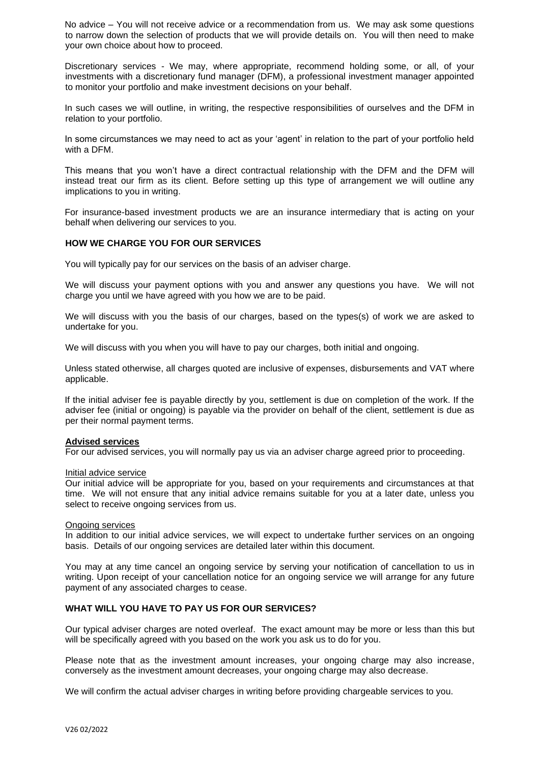No advice – You will not receive advice or a recommendation from us. We may ask some questions to narrow down the selection of products that we will provide details on. You will then need to make your own choice about how to proceed.

Discretionary services - We may, where appropriate, recommend holding some, or all, of your investments with a discretionary fund manager (DFM), a professional investment manager appointed to monitor your portfolio and make investment decisions on your behalf.

In such cases we will outline, in writing, the respective responsibilities of ourselves and the DFM in relation to your portfolio.

In some circumstances we may need to act as your 'agent' in relation to the part of your portfolio held with a DFM.

This means that you won't have a direct contractual relationship with the DFM and the DFM will instead treat our firm as its client. Before setting up this type of arrangement we will outline any implications to you in writing.

For insurance-based investment products we are an insurance intermediary that is acting on your behalf when delivering our services to you.

#### **HOW WE CHARGE YOU FOR OUR SERVICES**

You will typically pay for our services on the basis of an adviser charge.

We will discuss your payment options with you and answer any questions you have. We will not charge you until we have agreed with you how we are to be paid.

We will discuss with you the basis of our charges, based on the types(s) of work we are asked to undertake for you.

We will discuss with you when you will have to pay our charges, both initial and ongoing.

Unless stated otherwise, all charges quoted are inclusive of expenses, disbursements and VAT where applicable.

If the initial adviser fee is payable directly by you, settlement is due on completion of the work. If the adviser fee (initial or ongoing) is payable via the provider on behalf of the client, settlement is due as per their normal payment terms.

#### **Advised services**

For our advised services, you will normally pay us via an adviser charge agreed prior to proceeding.

#### Initial advice service

Our initial advice will be appropriate for you, based on your requirements and circumstances at that time. We will not ensure that any initial advice remains suitable for you at a later date, unless you select to receive ongoing services from us.

#### Ongoing services

In addition to our initial advice services, we will expect to undertake further services on an ongoing basis. Details of our ongoing services are detailed later within this document.

You may at any time cancel an ongoing service by serving your notification of cancellation to us in writing. Upon receipt of your cancellation notice for an ongoing service we will arrange for any future payment of any associated charges to cease.

#### **WHAT WILL YOU HAVE TO PAY US FOR OUR SERVICES?**

Our typical adviser charges are noted overleaf. The exact amount may be more or less than this but will be specifically agreed with you based on the work you ask us to do for you.

Please note that as the investment amount increases, your ongoing charge may also increase, conversely as the investment amount decreases, your ongoing charge may also decrease.

We will confirm the actual adviser charges in writing before providing chargeable services to you.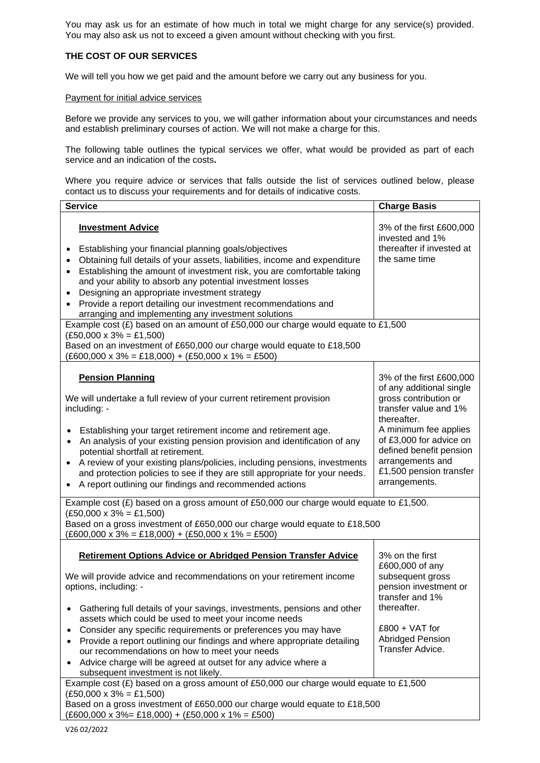You may ask us for an estimate of how much in total we might charge for any service(s) provided. You may also ask us not to exceed a given amount without checking with you first.

# **THE COST OF OUR SERVICES**

We will tell you how we get paid and the amount before we carry out any business for you.

#### Payment for initial advice services

Before we provide any services to you, we will gather information about your circumstances and needs and establish preliminary courses of action. We will not make a charge for this.

The following table outlines the typical services we offer, what would be provided as part of each service and an indication of the costs**.** 

Where you require advice or services that falls outside the list of services outlined below, please contact us to discuss your requirements and for details of indicative costs.

| <b>Service</b>                                                                                                                                                                                                                                                                                                                                                                                                                                                                  | <b>Charge Basis</b>                                                                                                                                                                                                      |
|---------------------------------------------------------------------------------------------------------------------------------------------------------------------------------------------------------------------------------------------------------------------------------------------------------------------------------------------------------------------------------------------------------------------------------------------------------------------------------|--------------------------------------------------------------------------------------------------------------------------------------------------------------------------------------------------------------------------|
| <b>Investment Advice</b><br>Establishing your financial planning goals/objectives<br>Obtaining full details of your assets, liabilities, income and expenditure<br>Establishing the amount of investment risk, you are comfortable taking<br>and your ability to absorb any potential investment losses<br>Designing an appropriate investment strategy<br>Provide a report detailing our investment recommendations and<br>arranging and implementing any investment solutions | 3% of the first £600,000<br>invested and 1%<br>thereafter if invested at<br>the same time                                                                                                                                |
| Example cost $(E)$ based on an amount of £50,000 our charge would equate to £1,500<br>$(E50,000 \times 3\% = £1,500)$                                                                                                                                                                                                                                                                                                                                                           |                                                                                                                                                                                                                          |
| Based on an investment of £650,000 our charge would equate to £18,500<br>$(E600,000 \times 3\% = E18,000) + (E50,000 \times 1\% = E500)$                                                                                                                                                                                                                                                                                                                                        |                                                                                                                                                                                                                          |
| <b>Pension Planning</b><br>We will undertake a full review of your current retirement provision<br>including: -<br>Establishing your target retirement income and retirement age.<br>An analysis of your existing pension provision and identification of any<br>$\bullet$<br>potential shortfall at retirement.<br>A review of your existing plans/policies, including pensions, investments<br>$\bullet$                                                                      | 3% of the first £600,000<br>of any additional single<br>gross contribution or<br>transfer value and 1%<br>thereafter.<br>A minimum fee applies<br>of £3,000 for advice on<br>defined benefit pension<br>arrangements and |
| and protection policies to see if they are still appropriate for your needs.<br>A report outlining our findings and recommended actions                                                                                                                                                                                                                                                                                                                                         | £1,500 pension transfer<br>arrangements.                                                                                                                                                                                 |
| Example cost $(E)$ based on a gross amount of £50,000 our charge would equate to £1,500.                                                                                                                                                                                                                                                                                                                                                                                        |                                                                                                                                                                                                                          |
| $(E50,000 \times 3\% = £1,500)$<br>Based on a gross investment of £650,000 our charge would equate to £18,500<br>$(E600,000 \times 3\% = E18,000) + (E50,000 \times 1\% = E500)$                                                                                                                                                                                                                                                                                                |                                                                                                                                                                                                                          |
| <b>Retirement Options Advice or Abridged Pension Transfer Advice</b>                                                                                                                                                                                                                                                                                                                                                                                                            | 3% on the first<br>£600,000 of any                                                                                                                                                                                       |
| We will provide advice and recommendations on your retirement income<br>options, including: -                                                                                                                                                                                                                                                                                                                                                                                   | subsequent gross<br>pension investment or<br>transfer and 1%                                                                                                                                                             |
| Gathering full details of your savings, investments, pensions and other<br>assets which could be used to meet your income needs                                                                                                                                                                                                                                                                                                                                                 | thereafter.                                                                                                                                                                                                              |
| Consider any specific requirements or preferences you may have<br>$\bullet$<br>Provide a report outlining our findings and where appropriate detailing<br>$\bullet$                                                                                                                                                                                                                                                                                                             | $£800 + VAT$ for<br><b>Abridged Pension</b>                                                                                                                                                                              |
| our recommendations on how to meet your needs                                                                                                                                                                                                                                                                                                                                                                                                                                   | Transfer Advice.                                                                                                                                                                                                         |
| Advice charge will be agreed at outset for any advice where a<br>$\bullet$<br>subsequent investment is not likely.                                                                                                                                                                                                                                                                                                                                                              |                                                                                                                                                                                                                          |
| Example cost (£) based on a gross amount of £50,000 our charge would equate to £1,500<br>$(E50,000 \times 3\% = £1,500)$                                                                                                                                                                                                                                                                                                                                                        |                                                                                                                                                                                                                          |
| Based on a gross investment of £650,000 our charge would equate to £18,500<br>$(E600,000 \times 3\% = E18,000) + (E50,000 \times 1\% = E500)$                                                                                                                                                                                                                                                                                                                                   |                                                                                                                                                                                                                          |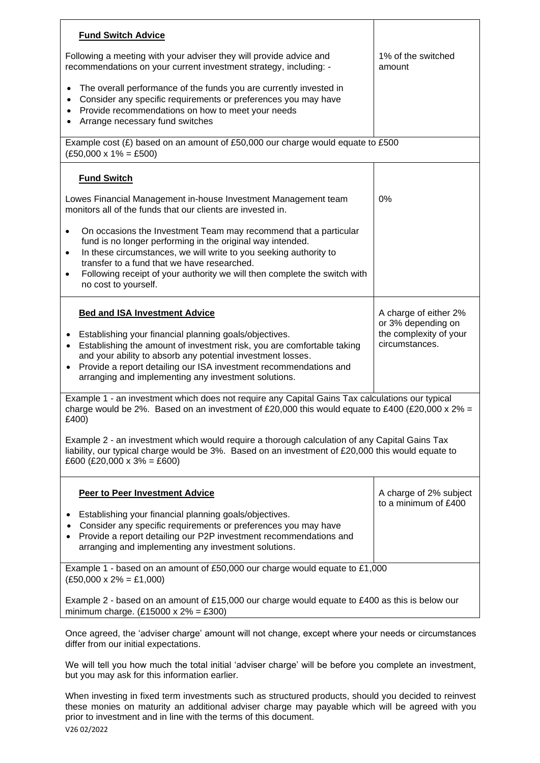| <b>Fund Switch Advice</b>                                                                                                                                                                                                                                                                                                                                                                      |                                                                |
|------------------------------------------------------------------------------------------------------------------------------------------------------------------------------------------------------------------------------------------------------------------------------------------------------------------------------------------------------------------------------------------------|----------------------------------------------------------------|
| Following a meeting with your adviser they will provide advice and<br>recommendations on your current investment strategy, including: -                                                                                                                                                                                                                                                        | 1% of the switched<br>amount                                   |
| The overall performance of the funds you are currently invested in<br>$\bullet$<br>Consider any specific requirements or preferences you may have<br>Provide recommendations on how to meet your needs<br>$\bullet$<br>Arrange necessary fund switches                                                                                                                                         |                                                                |
| Example cost (£) based on an amount of £50,000 our charge would equate to £500<br>$(£50,000 \times 1\% = £500)$                                                                                                                                                                                                                                                                                |                                                                |
| <b>Fund Switch</b>                                                                                                                                                                                                                                                                                                                                                                             |                                                                |
| Lowes Financial Management in-house Investment Management team<br>monitors all of the funds that our clients are invested in.                                                                                                                                                                                                                                                                  | 0%                                                             |
| On occasions the Investment Team may recommend that a particular<br>$\bullet$<br>fund is no longer performing in the original way intended.<br>In these circumstances, we will write to you seeking authority to<br>$\bullet$<br>transfer to a fund that we have researched.<br>Following receipt of your authority we will then complete the switch with<br>$\bullet$<br>no cost to yourself. |                                                                |
| <b>Bed and ISA Investment Advice</b>                                                                                                                                                                                                                                                                                                                                                           | A charge of either 2%                                          |
| Establishing your financial planning goals/objectives.<br>Establishing the amount of investment risk, you are comfortable taking<br>$\bullet$<br>and your ability to absorb any potential investment losses.<br>Provide a report detailing our ISA investment recommendations and<br>$\bullet$<br>arranging and implementing any investment solutions.                                         | or 3% depending on<br>the complexity of your<br>circumstances. |
| Example 1 - an investment which does not require any Capital Gains Tax calculations our typical<br>charge would be 2%. Based on an investment of £20,000 this would equate to £400 (£20,000 x 2% =<br>£400)                                                                                                                                                                                    |                                                                |
| Example 2 - an investment which would require a thorough calculation of any Capital Gains Tax<br>liability, our typical charge would be 3%. Based on an investment of £20,000 this would equate to<br>£600 (£20,000 x 3% = £600)                                                                                                                                                               |                                                                |
| <b>Peer to Peer Investment Advice</b>                                                                                                                                                                                                                                                                                                                                                          | A charge of 2% subject<br>to a minimum of £400                 |
| Establishing your financial planning goals/objectives.<br>٠<br>Consider any specific requirements or preferences you may have<br>Provide a report detailing our P2P investment recommendations and<br>arranging and implementing any investment solutions.                                                                                                                                     |                                                                |
| Example 1 - based on an amount of £50,000 our charge would equate to £1,000<br>$(E50,000 \times 2\% = £1,000)$                                                                                                                                                                                                                                                                                 |                                                                |
| Example 2 - based on an amount of £15,000 our charge would equate to £400 as this is below our<br>minimum charge. $(E15000 \times 2\% = E300)$                                                                                                                                                                                                                                                 |                                                                |
| Once agreed, the 'adviser charge' amount will not change, except where your needs or circumstances                                                                                                                                                                                                                                                                                             |                                                                |

differ from our initial expectations.

We will tell you how much the total initial 'adviser charge' will be before you complete an investment, but you may ask for this information earlier.

V26 02/2022 When investing in fixed term investments such as structured products, should you decided to reinvest these monies on maturity an additional adviser charge may payable which will be agreed with you prior to investment and in line with the terms of this document.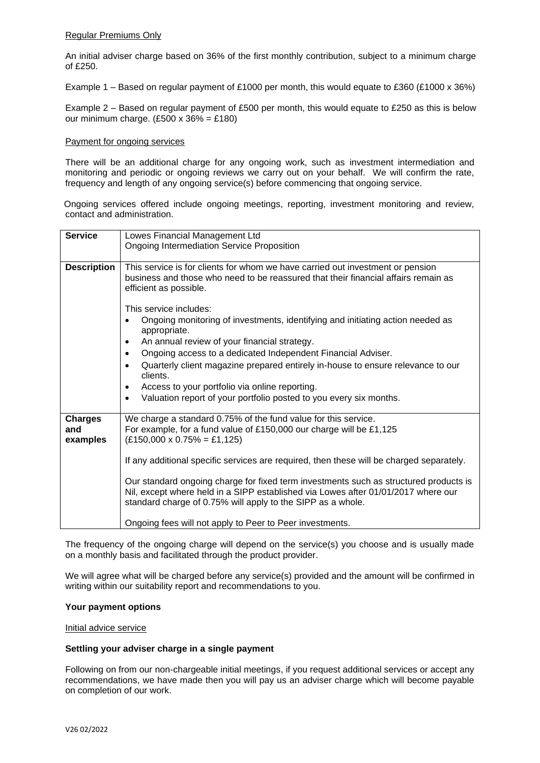### Regular Premiums Only

An initial adviser charge based on 36% of the first monthly contribution, subject to a minimum charge of £250.

Example 1 – Based on regular payment of £1000 per month, this would equate to £360 (£1000 x 36%)

Example 2 – Based on regular payment of £500 per month, this would equate to £250 as this is below our minimum charge.  $(E500 \times 36\% = E180)$ 

#### Payment for ongoing services

There will be an additional charge for any ongoing work, such as investment intermediation and monitoring and periodic or ongoing reviews we carry out on your behalf. We will confirm the rate, frequency and length of any ongoing service(s) before commencing that ongoing service.

Ongoing services offered include ongoing meetings, reporting, investment monitoring and review, contact and administration.

| <b>Service</b>     | Lowes Financial Management Ltd                                                               |
|--------------------|----------------------------------------------------------------------------------------------|
|                    |                                                                                              |
|                    | <b>Ongoing Intermediation Service Proposition</b>                                            |
|                    |                                                                                              |
| <b>Description</b> | This service is for clients for whom we have carried out investment or pension               |
|                    | business and those who need to be reassured that their financial affairs remain as           |
|                    | efficient as possible.                                                                       |
|                    |                                                                                              |
|                    | This service includes:                                                                       |
|                    | Ongoing monitoring of investments, identifying and initiating action needed as               |
|                    | appropriate.                                                                                 |
|                    | An annual review of your financial strategy.<br>٠                                            |
|                    | Ongoing access to a dedicated Independent Financial Adviser.<br>$\bullet$                    |
|                    | Quarterly client magazine prepared entirely in-house to ensure relevance to our<br>$\bullet$ |
|                    | clients.                                                                                     |
|                    | Access to your portfolio via online reporting.<br>٠                                          |
|                    | Valuation report of your portfolio posted to you every six months.<br>$\bullet$              |
|                    |                                                                                              |
| <b>Charges</b>     | We charge a standard 0.75% of the fund value for this service.                               |
| and                | For example, for a fund value of £150,000 our charge will be £1,125                          |
| examples           | $(E150,000 \times 0.75\% = E1,125)$                                                          |
|                    |                                                                                              |
|                    |                                                                                              |
|                    | If any additional specific services are required, then these will be charged separately.     |
|                    | Our standard ongoing charge for fixed term investments such as structured products is        |
|                    | Nil, except where held in a SIPP established via Lowes after 01/01/2017 where our            |
|                    |                                                                                              |
|                    | standard charge of 0.75% will apply to the SIPP as a whole.                                  |
|                    |                                                                                              |
|                    | Ongoing fees will not apply to Peer to Peer investments.                                     |

The frequency of the ongoing charge will depend on the service(s) you choose and is usually made on a monthly basis and facilitated through the product provider.

We will agree what will be charged before any service(s) provided and the amount will be confirmed in writing within our suitability report and recommendations to you.

#### **Your payment options**

## Initial advice service

### **Settling your adviser charge in a single payment**

Following on from our non-chargeable initial meetings, if you request additional services or accept any recommendations, we have made then you will pay us an adviser charge which will become payable on completion of our work.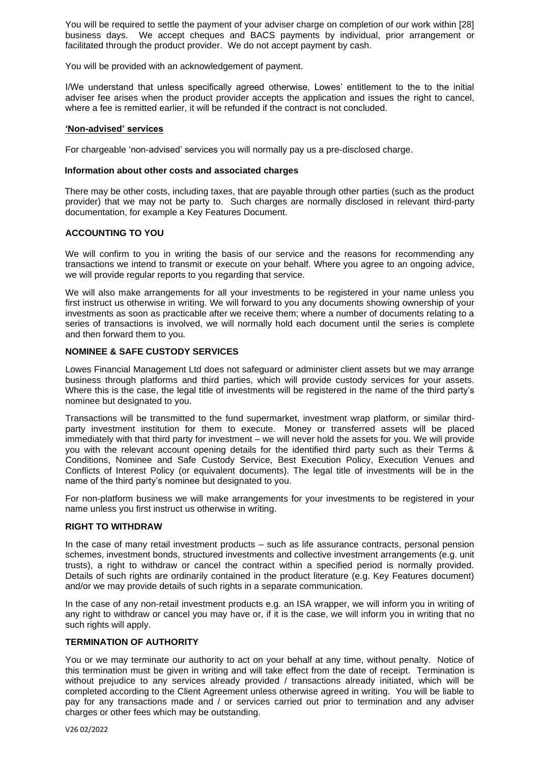You will be required to settle the payment of your adviser charge on completion of our work within [28] business days. We accept cheques and BACS payments by individual, prior arrangement or facilitated through the product provider. We do not accept payment by cash.

You will be provided with an acknowledgement of payment.

I/We understand that unless specifically agreed otherwise, Lowes' entitlement to the to the initial adviser fee arises when the product provider accepts the application and issues the right to cancel, where a fee is remitted earlier, it will be refunded if the contract is not concluded.

#### **'Non-advised' services**

For chargeable 'non-advised' services you will normally pay us a pre-disclosed charge.

### **Information about other costs and associated charges**

There may be other costs, including taxes, that are payable through other parties (such as the product provider) that we may not be party to. Such charges are normally disclosed in relevant third-party documentation, for example a Key Features Document.

# **ACCOUNTING TO YOU**

We will confirm to you in writing the basis of our service and the reasons for recommending any transactions we intend to transmit or execute on your behalf. Where you agree to an ongoing advice, we will provide regular reports to you regarding that service.

We will also make arrangements for all your investments to be registered in your name unless you first instruct us otherwise in writing. We will forward to you any documents showing ownership of your investments as soon as practicable after we receive them; where a number of documents relating to a series of transactions is involved, we will normally hold each document until the series is complete and then forward them to you*.*

# **NOMINEE & SAFE CUSTODY SERVICES**

Lowes Financial Management Ltd does not safeguard or administer client assets but we may arrange business through platforms and third parties, which will provide custody services for your assets. Where this is the case, the legal title of investments will be registered in the name of the third party's nominee but designated to you.

Transactions will be transmitted to the fund supermarket, investment wrap platform, or similar thirdparty investment institution for them to execute. Money or transferred assets will be placed immediately with that third party for investment – we will never hold the assets for you. We will provide you with the relevant account opening details for the identified third party such as their Terms & Conditions, Nominee and Safe Custody Service, Best Execution Policy, Execution Venues and Conflicts of Interest Policy (or equivalent documents). The legal title of investments will be in the name of the third party's nominee but designated to you.

For non-platform business we will make arrangements for your investments to be registered in your name unless you first instruct us otherwise in writing.

# **RIGHT TO WITHDRAW**

In the case of many retail investment products – such as life assurance contracts, personal pension schemes, investment bonds, structured investments and collective investment arrangements (e.g. unit trusts), a right to withdraw or cancel the contract within a specified period is normally provided. Details of such rights are ordinarily contained in the product literature (e.g. Key Features document) and/or we may provide details of such rights in a separate communication.

In the case of any non-retail investment products e.g. an ISA wrapper, we will inform you in writing of any right to withdraw or cancel you may have or, if it is the case, we will inform you in writing that no such rights will apply.

# **TERMINATION OF AUTHORITY**

You or we may terminate our authority to act on your behalf at any time, without penalty. Notice of this termination must be given in writing and will take effect from the date of receipt. Termination is without prejudice to any services already provided / transactions already initiated, which will be completed according to the Client Agreement unless otherwise agreed in writing. You will be liable to pay for any transactions made and / or services carried out prior to termination and any adviser charges or other fees which may be outstanding.